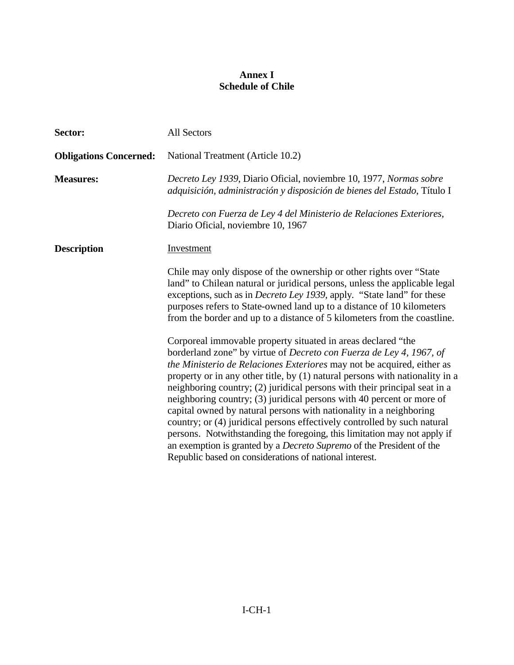## **Annex I Schedule of Chile**

| Sector:                       | All Sectors                                                                                                                                                                                                                                                                                                                                                                                                                                                                                                                                                                                                                                                                                                                                                                                                                |
|-------------------------------|----------------------------------------------------------------------------------------------------------------------------------------------------------------------------------------------------------------------------------------------------------------------------------------------------------------------------------------------------------------------------------------------------------------------------------------------------------------------------------------------------------------------------------------------------------------------------------------------------------------------------------------------------------------------------------------------------------------------------------------------------------------------------------------------------------------------------|
| <b>Obligations Concerned:</b> | National Treatment (Article 10.2)                                                                                                                                                                                                                                                                                                                                                                                                                                                                                                                                                                                                                                                                                                                                                                                          |
| <b>Measures:</b>              | Decreto Ley 1939, Diario Oficial, noviembre 10, 1977, Normas sobre<br>adquisición, administración y disposición de bienes del Estado, Título I                                                                                                                                                                                                                                                                                                                                                                                                                                                                                                                                                                                                                                                                             |
|                               | Decreto con Fuerza de Ley 4 del Ministerio de Relaciones Exteriores,<br>Diario Oficial, noviembre 10, 1967                                                                                                                                                                                                                                                                                                                                                                                                                                                                                                                                                                                                                                                                                                                 |
| <b>Description</b>            | Investment                                                                                                                                                                                                                                                                                                                                                                                                                                                                                                                                                                                                                                                                                                                                                                                                                 |
|                               | Chile may only dispose of the ownership or other rights over "State"<br>land" to Chilean natural or juridical persons, unless the applicable legal<br>exceptions, such as in <i>Decreto Ley 1939</i> , apply. "State land" for these<br>purposes refers to State-owned land up to a distance of 10 kilometers<br>from the border and up to a distance of 5 kilometers from the coastline.                                                                                                                                                                                                                                                                                                                                                                                                                                  |
|                               | Corporeal immovable property situated in areas declared "the<br>borderland zone" by virtue of Decreto con Fuerza de Ley 4, 1967, of<br>the Ministerio de Relaciones Exteriores may not be acquired, either as<br>property or in any other title, by (1) natural persons with nationality in a<br>neighboring country; (2) juridical persons with their principal seat in a<br>neighboring country; (3) juridical persons with 40 percent or more of<br>capital owned by natural persons with nationality in a neighboring<br>country; or (4) juridical persons effectively controlled by such natural<br>persons. Notwithstanding the foregoing, this limitation may not apply if<br>an exemption is granted by a <i>Decreto Supremo</i> of the President of the<br>Republic based on considerations of national interest. |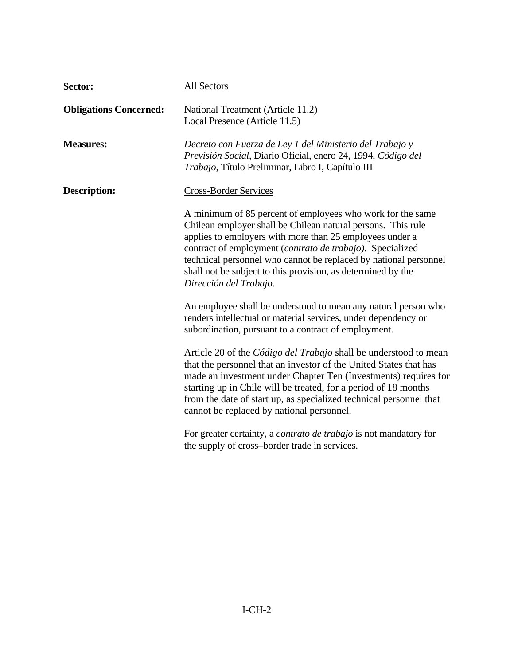| Sector:                       | <b>All Sectors</b>                                                                                                                                                                                                                                                                                                                                                                                                |
|-------------------------------|-------------------------------------------------------------------------------------------------------------------------------------------------------------------------------------------------------------------------------------------------------------------------------------------------------------------------------------------------------------------------------------------------------------------|
| <b>Obligations Concerned:</b> | National Treatment (Article 11.2)<br>Local Presence (Article 11.5)                                                                                                                                                                                                                                                                                                                                                |
| <b>Measures:</b>              | Decreto con Fuerza de Ley 1 del Ministerio del Trabajo y<br>Previsión Social, Diario Oficial, enero 24, 1994, Código del<br>Trabajo, Título Preliminar, Libro I, Capítulo III                                                                                                                                                                                                                                     |
| <b>Description:</b>           | <b>Cross-Border Services</b>                                                                                                                                                                                                                                                                                                                                                                                      |
|                               | A minimum of 85 percent of employees who work for the same<br>Chilean employer shall be Chilean natural persons. This rule<br>applies to employers with more than 25 employees under a<br>contract of employment (contrato de trabajo). Specialized<br>technical personnel who cannot be replaced by national personnel<br>shall not be subject to this provision, as determined by the<br>Dirección del Trabajo. |
|                               | An employee shall be understood to mean any natural person who<br>renders intellectual or material services, under dependency or<br>subordination, pursuant to a contract of employment.                                                                                                                                                                                                                          |
|                               | Article 20 of the <i>Código del Trabajo</i> shall be understood to mean<br>that the personnel that an investor of the United States that has<br>made an investment under Chapter Ten (Investments) requires for<br>starting up in Chile will be treated, for a period of 18 months<br>from the date of start up, as specialized technical personnel that<br>cannot be replaced by national personnel.             |
|                               | For greater certainty, a <i>contrato de trabajo</i> is not mandatory for<br>the supply of cross-border trade in services.                                                                                                                                                                                                                                                                                         |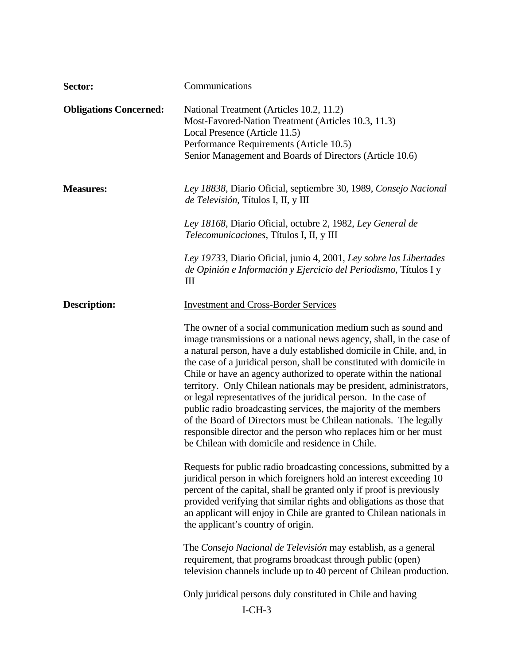| Sector:                       | Communications                                                                                                                                                                                                                                                                                                                                                                                                                                                                                                                                                                                                                                                                                                                                                       |
|-------------------------------|----------------------------------------------------------------------------------------------------------------------------------------------------------------------------------------------------------------------------------------------------------------------------------------------------------------------------------------------------------------------------------------------------------------------------------------------------------------------------------------------------------------------------------------------------------------------------------------------------------------------------------------------------------------------------------------------------------------------------------------------------------------------|
| <b>Obligations Concerned:</b> | National Treatment (Articles 10.2, 11.2)<br>Most-Favored-Nation Treatment (Articles 10.3, 11.3)<br>Local Presence (Article 11.5)<br>Performance Requirements (Article 10.5)<br>Senior Management and Boards of Directors (Article 10.6)                                                                                                                                                                                                                                                                                                                                                                                                                                                                                                                              |
| <b>Measures:</b>              | Ley 18838, Diario Oficial, septiembre 30, 1989, Consejo Nacional<br>de Televisión, Títulos I, II, y III                                                                                                                                                                                                                                                                                                                                                                                                                                                                                                                                                                                                                                                              |
|                               | Ley 18168, Diario Oficial, octubre 2, 1982, Ley General de<br><i>Telecomunicaciones, Títulos I, II, y III</i>                                                                                                                                                                                                                                                                                                                                                                                                                                                                                                                                                                                                                                                        |
|                               | Ley 19733, Diario Oficial, junio 4, 2001, Ley sobre las Libertades<br>de Opinión e Información y Ejercicio del Periodismo, Títulos I y<br>Ш                                                                                                                                                                                                                                                                                                                                                                                                                                                                                                                                                                                                                          |
| <b>Description:</b>           | <b>Investment and Cross-Border Services</b>                                                                                                                                                                                                                                                                                                                                                                                                                                                                                                                                                                                                                                                                                                                          |
|                               | The owner of a social communication medium such as sound and<br>image transmissions or a national news agency, shall, in the case of<br>a natural person, have a duly established domicile in Chile, and, in<br>the case of a juridical person, shall be constituted with domicile in<br>Chile or have an agency authorized to operate within the national<br>territory. Only Chilean nationals may be president, administrators,<br>or legal representatives of the juridical person. In the case of<br>public radio broadcasting services, the majority of the members<br>of the Board of Directors must be Chilean nationals. The legally<br>responsible director and the person who replaces him or her must<br>be Chilean with domicile and residence in Chile. |
|                               | Requests for public radio broadcasting concessions, submitted by a<br>juridical person in which foreigners hold an interest exceeding 10<br>percent of the capital, shall be granted only if proof is previously<br>provided verifying that similar rights and obligations as those that<br>an applicant will enjoy in Chile are granted to Chilean nationals in<br>the applicant's country of origin.                                                                                                                                                                                                                                                                                                                                                               |
|                               | The Consejo Nacional de Televisión may establish, as a general<br>requirement, that programs broadcast through public (open)<br>television channels include up to 40 percent of Chilean production.                                                                                                                                                                                                                                                                                                                                                                                                                                                                                                                                                                  |
|                               | Only juridical persons duly constituted in Chile and having                                                                                                                                                                                                                                                                                                                                                                                                                                                                                                                                                                                                                                                                                                          |
|                               | $I-CH-3$                                                                                                                                                                                                                                                                                                                                                                                                                                                                                                                                                                                                                                                                                                                                                             |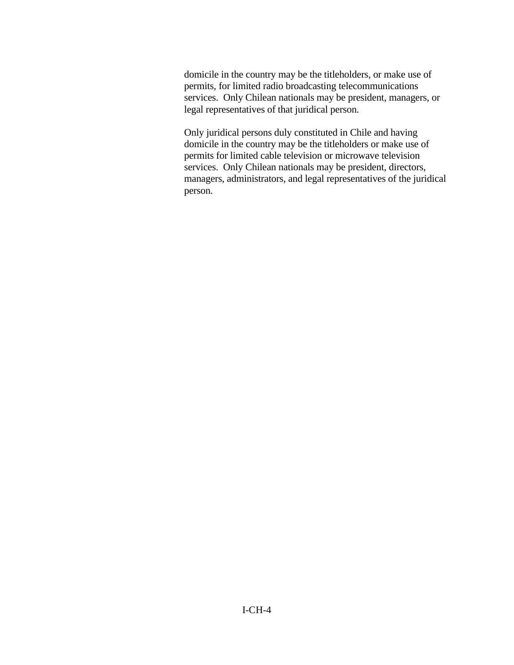domicile in the country may be the titleholders, or make use of permits, for limited radio broadcasting telecommunications services. Only Chilean nationals may be president, managers, or legal representatives of that juridical person.

Only juridical persons duly constituted in Chile and having domicile in the country may be the titleholders or make use of permits for limited cable television or microwave television services. Only Chilean nationals may be president, directors, managers, administrators, and legal representatives of the juridical person.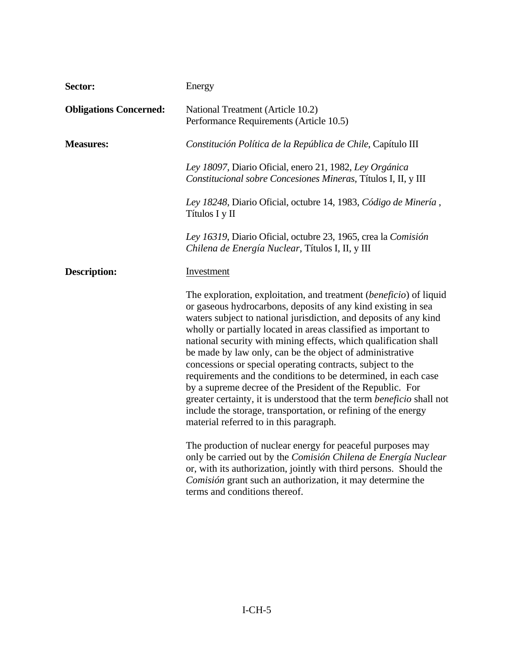| Sector:                       | Energy                                                                                                                                                                                                                                                                                                                                                                                                                                                                                                                                                                                                                                                                                                                                                                                                |
|-------------------------------|-------------------------------------------------------------------------------------------------------------------------------------------------------------------------------------------------------------------------------------------------------------------------------------------------------------------------------------------------------------------------------------------------------------------------------------------------------------------------------------------------------------------------------------------------------------------------------------------------------------------------------------------------------------------------------------------------------------------------------------------------------------------------------------------------------|
| <b>Obligations Concerned:</b> | National Treatment (Article 10.2)<br>Performance Requirements (Article 10.5)                                                                                                                                                                                                                                                                                                                                                                                                                                                                                                                                                                                                                                                                                                                          |
| <b>Measures:</b>              | Constitución Política de la República de Chile, Capítulo III                                                                                                                                                                                                                                                                                                                                                                                                                                                                                                                                                                                                                                                                                                                                          |
|                               | Ley 18097, Diario Oficial, enero 21, 1982, Ley Orgánica<br>Constitucional sobre Concesiones Mineras, Títulos I, II, y III                                                                                                                                                                                                                                                                                                                                                                                                                                                                                                                                                                                                                                                                             |
|                               | Ley 18248, Diario Oficial, octubre 14, 1983, Código de Minería,<br>Títulos I y II                                                                                                                                                                                                                                                                                                                                                                                                                                                                                                                                                                                                                                                                                                                     |
|                               | Ley 16319, Diario Oficial, octubre 23, 1965, crea la Comisión<br>Chilena de Energía Nuclear, Títulos I, II, y III                                                                                                                                                                                                                                                                                                                                                                                                                                                                                                                                                                                                                                                                                     |
| <b>Description:</b>           | Investment                                                                                                                                                                                                                                                                                                                                                                                                                                                                                                                                                                                                                                                                                                                                                                                            |
|                               | The exploration, exploitation, and treatment (beneficio) of liquid<br>or gaseous hydrocarbons, deposits of any kind existing in sea<br>waters subject to national jurisdiction, and deposits of any kind<br>wholly or partially located in areas classified as important to<br>national security with mining effects, which qualification shall<br>be made by law only, can be the object of administrative<br>concessions or special operating contracts, subject to the<br>requirements and the conditions to be determined, in each case<br>by a supreme decree of the President of the Republic. For<br>greater certainty, it is understood that the term <i>beneficio</i> shall not<br>include the storage, transportation, or refining of the energy<br>material referred to in this paragraph. |
|                               | The production of nuclear energy for peaceful purposes may<br>only be carried out by the Comisión Chilena de Energía Nuclear<br>or, with its authorization, jointly with third persons. Should the<br>Comisión grant such an authorization, it may determine the<br>terms and conditions thereof.                                                                                                                                                                                                                                                                                                                                                                                                                                                                                                     |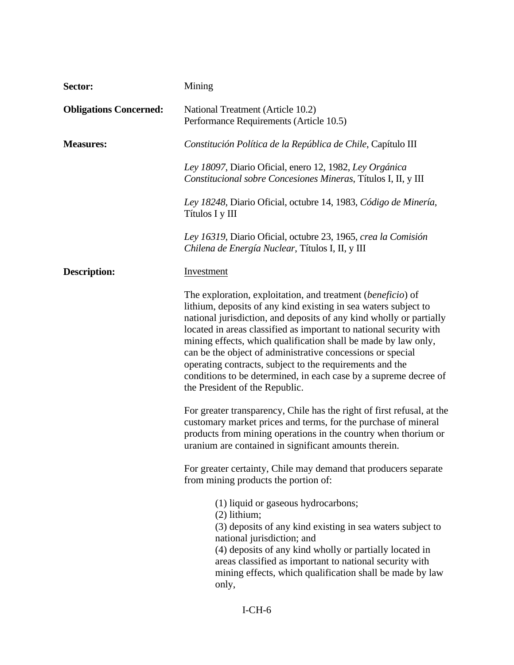| Sector:                       | Mining                                                                                                                                                                                                                                                                                                                                                                                                                                                                                                                                                                        |
|-------------------------------|-------------------------------------------------------------------------------------------------------------------------------------------------------------------------------------------------------------------------------------------------------------------------------------------------------------------------------------------------------------------------------------------------------------------------------------------------------------------------------------------------------------------------------------------------------------------------------|
| <b>Obligations Concerned:</b> | National Treatment (Article 10.2)<br>Performance Requirements (Article 10.5)                                                                                                                                                                                                                                                                                                                                                                                                                                                                                                  |
| <b>Measures:</b>              | Constitución Política de la República de Chile, Capítulo III                                                                                                                                                                                                                                                                                                                                                                                                                                                                                                                  |
|                               | Ley 18097, Diario Oficial, enero 12, 1982, Ley Orgánica<br>Constitucional sobre Concesiones Mineras, Títulos I, II, y III                                                                                                                                                                                                                                                                                                                                                                                                                                                     |
|                               | Ley 18248, Diario Oficial, octubre 14, 1983, Código de Minería,<br>Títulos I y III                                                                                                                                                                                                                                                                                                                                                                                                                                                                                            |
|                               | Ley 16319, Diario Oficial, octubre 23, 1965, crea la Comisión<br>Chilena de Energía Nuclear, Títulos I, II, y III                                                                                                                                                                                                                                                                                                                                                                                                                                                             |
| <b>Description:</b>           | <b>Investment</b>                                                                                                                                                                                                                                                                                                                                                                                                                                                                                                                                                             |
|                               | The exploration, exploitation, and treatment (beneficio) of<br>lithium, deposits of any kind existing in sea waters subject to<br>national jurisdiction, and deposits of any kind wholly or partially<br>located in areas classified as important to national security with<br>mining effects, which qualification shall be made by law only,<br>can be the object of administrative concessions or special<br>operating contracts, subject to the requirements and the<br>conditions to be determined, in each case by a supreme decree of<br>the President of the Republic. |
|                               | For greater transparency, Chile has the right of first refusal, at the<br>customary market prices and terms, for the purchase of mineral<br>products from mining operations in the country when thorium or<br>uranium are contained in significant amounts therein.                                                                                                                                                                                                                                                                                                           |
|                               | For greater certainty, Chile may demand that producers separate<br>from mining products the portion of:                                                                                                                                                                                                                                                                                                                                                                                                                                                                       |
|                               | (1) liquid or gaseous hydrocarbons;<br>$(2)$ lithium;<br>(3) deposits of any kind existing in sea waters subject to<br>national jurisdiction; and<br>(4) deposits of any kind wholly or partially located in<br>areas classified as important to national security with<br>mining effects, which qualification shall be made by law<br>only,                                                                                                                                                                                                                                  |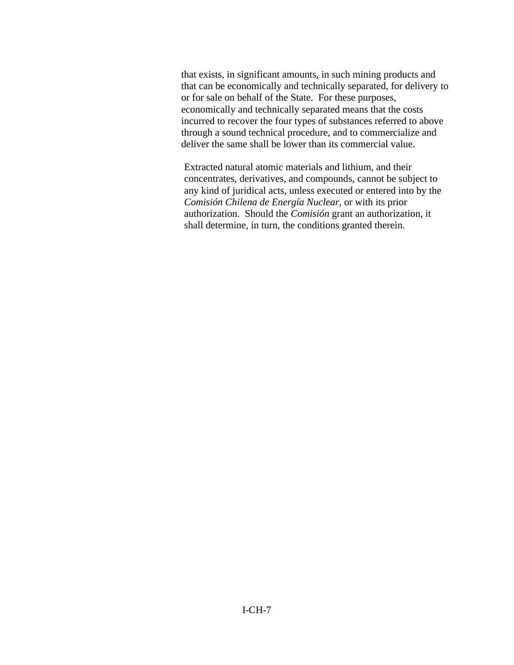that exists, in significant amounts, in such mining products and that can be economically and technically separated, for delivery to or for sale on behalf of the State. For these purposes, economically and technically separated means that the costs incurred to recover the four types of substances referred to above through a sound technical procedure, and to commercialize and deliver the same shall be lower than its commercial value.

Extracted natural atomic materials and lithium, and their concentrates, derivatives, and compounds, cannot be subject to any kind of juridical acts, unless executed or entered into by the *Comisión Chilena de Energía Nuclear*, or with its prior authorization. Should the *Comisión* grant an authorization, it shall determine, in turn, the conditions granted therein.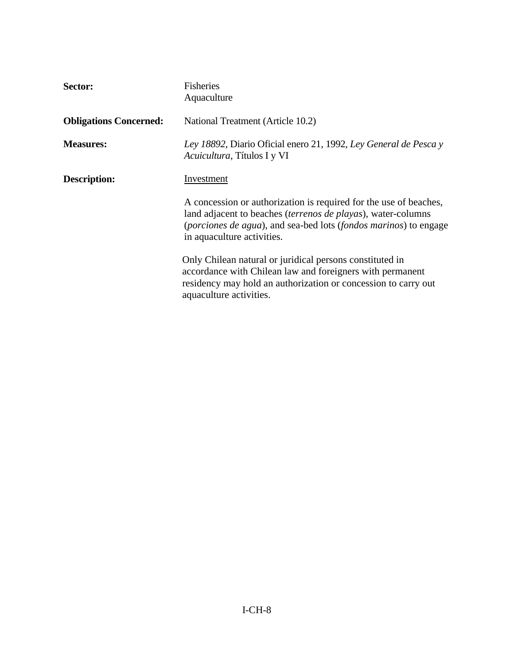| Sector:                       | <b>Fisheries</b><br>Aquaculture                                                                                                                                                                                                             |
|-------------------------------|---------------------------------------------------------------------------------------------------------------------------------------------------------------------------------------------------------------------------------------------|
| <b>Obligations Concerned:</b> | National Treatment (Article 10.2)                                                                                                                                                                                                           |
| <b>Measures:</b>              | Ley 18892, Diario Oficial enero 21, 1992, Ley General de Pesca y<br>Acuicultura, Títulos I y VI                                                                                                                                             |
| <b>Description:</b>           | Investment                                                                                                                                                                                                                                  |
|                               | A concession or authorization is required for the use of beaches,<br>land adjacent to beaches <i>(terrenos de playas)</i> , water-columns<br>(porciones de agua), and sea-bed lots (fondos marinos) to engage<br>in aquaculture activities. |
|                               | Only Chilean natural or juridical persons constituted in<br>accordance with Chilean law and foreigners with permanent<br>residency may hold an authorization or concession to carry out<br>aquaculture activities.                          |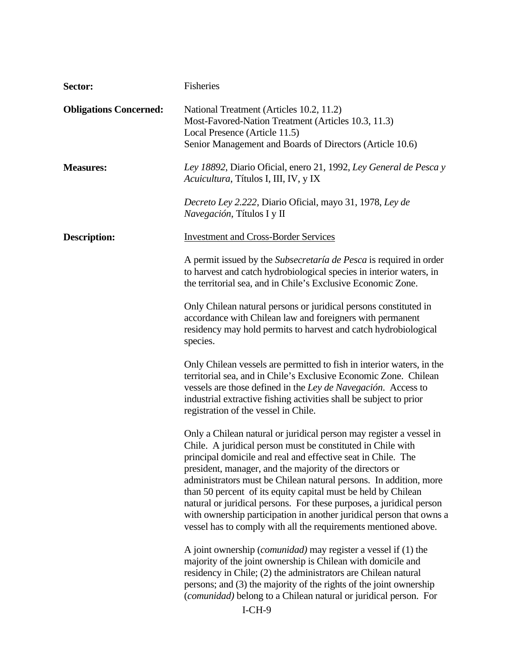| Sector:                       | Fisheries                                                                                                                                                                                                                                                                                                                                                                                                                                                                                                                                                                                                               |
|-------------------------------|-------------------------------------------------------------------------------------------------------------------------------------------------------------------------------------------------------------------------------------------------------------------------------------------------------------------------------------------------------------------------------------------------------------------------------------------------------------------------------------------------------------------------------------------------------------------------------------------------------------------------|
| <b>Obligations Concerned:</b> | National Treatment (Articles 10.2, 11.2)<br>Most-Favored-Nation Treatment (Articles 10.3, 11.3)<br>Local Presence (Article 11.5)<br>Senior Management and Boards of Directors (Article 10.6)                                                                                                                                                                                                                                                                                                                                                                                                                            |
| <b>Measures:</b>              | Ley 18892, Diario Oficial, enero 21, 1992, Ley General de Pesca y<br>Acuicultura, Títulos I, III, IV, y IX                                                                                                                                                                                                                                                                                                                                                                                                                                                                                                              |
|                               | Decreto Ley 2.222, Diario Oficial, mayo 31, 1978, Ley de<br>Navegación, Títulos I y II                                                                                                                                                                                                                                                                                                                                                                                                                                                                                                                                  |
| <b>Description:</b>           | <b>Investment and Cross-Border Services</b>                                                                                                                                                                                                                                                                                                                                                                                                                                                                                                                                                                             |
|                               | A permit issued by the Subsecretaría de Pesca is required in order<br>to harvest and catch hydrobiological species in interior waters, in<br>the territorial sea, and in Chile's Exclusive Economic Zone.                                                                                                                                                                                                                                                                                                                                                                                                               |
|                               | Only Chilean natural persons or juridical persons constituted in<br>accordance with Chilean law and foreigners with permanent<br>residency may hold permits to harvest and catch hydrobiological<br>species.                                                                                                                                                                                                                                                                                                                                                                                                            |
|                               | Only Chilean vessels are permitted to fish in interior waters, in the<br>territorial sea, and in Chile's Exclusive Economic Zone. Chilean<br>vessels are those defined in the Ley de Navegación. Access to<br>industrial extractive fishing activities shall be subject to prior<br>registration of the vessel in Chile.                                                                                                                                                                                                                                                                                                |
|                               | Only a Chilean natural or juridical person may register a vessel in<br>Chile. A juridical person must be constituted in Chile with<br>principal domicile and real and effective seat in Chile. The<br>president, manager, and the majority of the directors or<br>administrators must be Chilean natural persons. In addition, more<br>than 50 percent of its equity capital must be held by Chilean<br>natural or juridical persons. For these purposes, a juridical person<br>with ownership participation in another juridical person that owns a<br>vessel has to comply with all the requirements mentioned above. |
|                               | A joint ownership ( <i>comunidad</i> ) may register a vessel if (1) the<br>majority of the joint ownership is Chilean with domicile and<br>residency in Chile; (2) the administrators are Chilean natural<br>persons; and (3) the majority of the rights of the joint ownership<br>(comunidad) belong to a Chilean natural or juridical person. For<br>$I-CH-9$                                                                                                                                                                                                                                                         |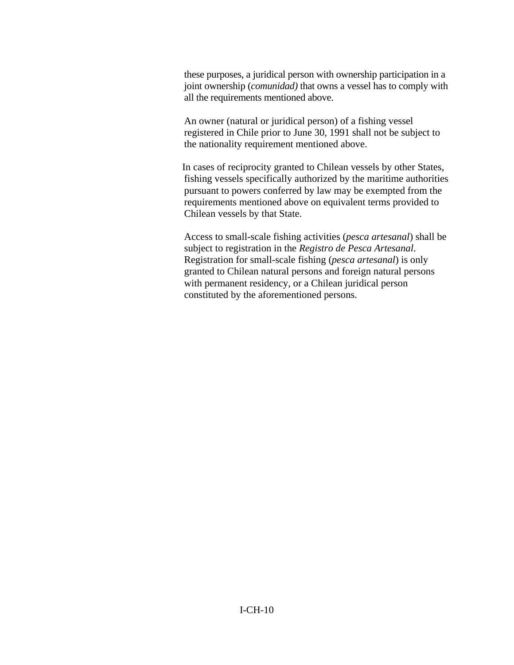these purposes, a juridical person with ownership participation in a joint ownership (*comunidad)* that owns a vessel has to comply with all the requirements mentioned above.

An owner (natural or juridical person) of a fishing vessel registered in Chile prior to June 30, 1991 shall not be subject to the nationality requirement mentioned above.

In cases of reciprocity granted to Chilean vessels by other States, fishing vessels specifically authorized by the maritime authorities pursuant to powers conferred by law may be exempted from the requirements mentioned above on equivalent terms provided to Chilean vessels by that State.

Access to small-scale fishing activities (*pesca artesanal*) shall be subject to registration in the *Registro de Pesca Artesanal*. Registration for small-scale fishing (*pesca artesanal*) is only granted to Chilean natural persons and foreign natural persons with permanent residency, or a Chilean juridical person constituted by the aforementioned persons.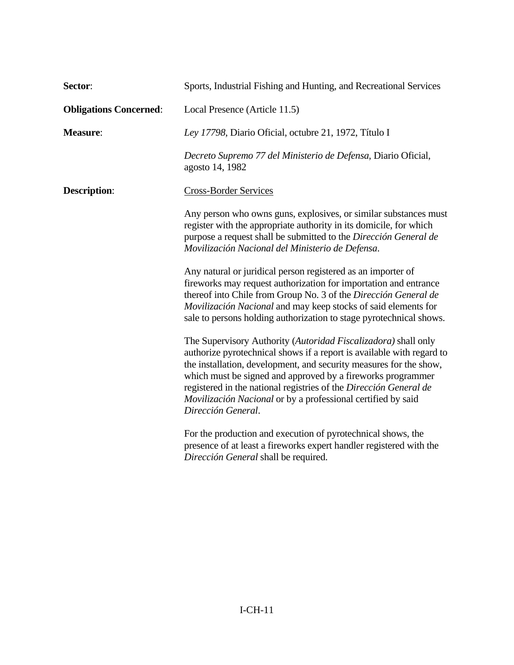| Sector:                       | Sports, Industrial Fishing and Hunting, and Recreational Services                                                                                                                                                                                                                                                                                                                                                                       |
|-------------------------------|-----------------------------------------------------------------------------------------------------------------------------------------------------------------------------------------------------------------------------------------------------------------------------------------------------------------------------------------------------------------------------------------------------------------------------------------|
| <b>Obligations Concerned:</b> | Local Presence (Article 11.5)                                                                                                                                                                                                                                                                                                                                                                                                           |
| <b>Measure:</b>               | Ley 17798, Diario Oficial, octubre 21, 1972, Título I                                                                                                                                                                                                                                                                                                                                                                                   |
|                               | Decreto Supremo 77 del Ministerio de Defensa, Diario Oficial,<br>agosto 14, 1982                                                                                                                                                                                                                                                                                                                                                        |
| <b>Description:</b>           | <b>Cross-Border Services</b>                                                                                                                                                                                                                                                                                                                                                                                                            |
|                               | Any person who owns guns, explosives, or similar substances must<br>register with the appropriate authority in its domicile, for which<br>purpose a request shall be submitted to the Dirección General de<br>Movilización Nacional del Ministerio de Defensa.                                                                                                                                                                          |
|                               | Any natural or juridical person registered as an importer of<br>fireworks may request authorization for importation and entrance<br>thereof into Chile from Group No. 3 of the Dirección General de<br>Movilización Nacional and may keep stocks of said elements for<br>sale to persons holding authorization to stage pyrotechnical shows.                                                                                            |
|                               | The Supervisory Authority (Autoridad Fiscalizadora) shall only<br>authorize pyrotechnical shows if a report is available with regard to<br>the installation, development, and security measures for the show,<br>which must be signed and approved by a fireworks programmer<br>registered in the national registries of the Dirección General de<br>Movilización Nacional or by a professional certified by said<br>Dirección General. |
|                               | For the production and execution of pyrotechnical shows, the<br>presence of at least a fireworks expert handler registered with the<br>Dirección General shall be required.                                                                                                                                                                                                                                                             |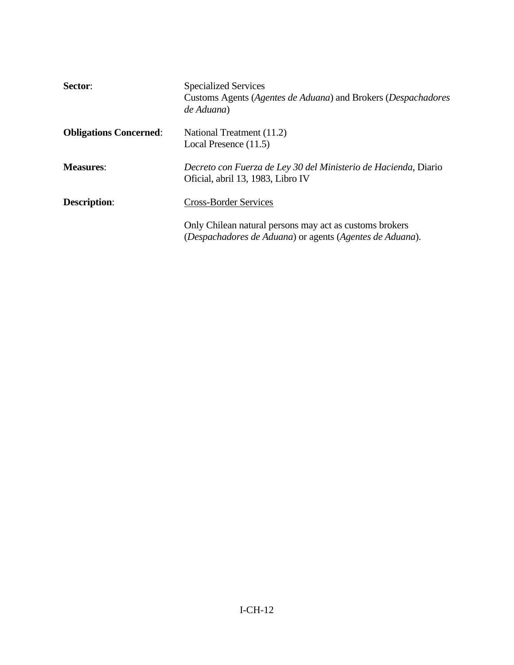| Sector:                       | <b>Specialized Services</b><br>Customs Agents (Agentes de Aduana) and Brokers (Despachadores<br>de Aduana)          |
|-------------------------------|---------------------------------------------------------------------------------------------------------------------|
| <b>Obligations Concerned:</b> | National Treatment (11.2)<br>Local Presence (11.5)                                                                  |
| <b>Measures:</b>              | Decreto con Fuerza de Ley 30 del Ministerio de Hacienda, Diario<br>Oficial, abril 13, 1983, Libro IV                |
| <b>Description:</b>           | <b>Cross-Border Services</b>                                                                                        |
|                               | Only Chilean natural persons may act as customs brokers<br>(Despachadores de Aduana) or agents (Agentes de Aduana). |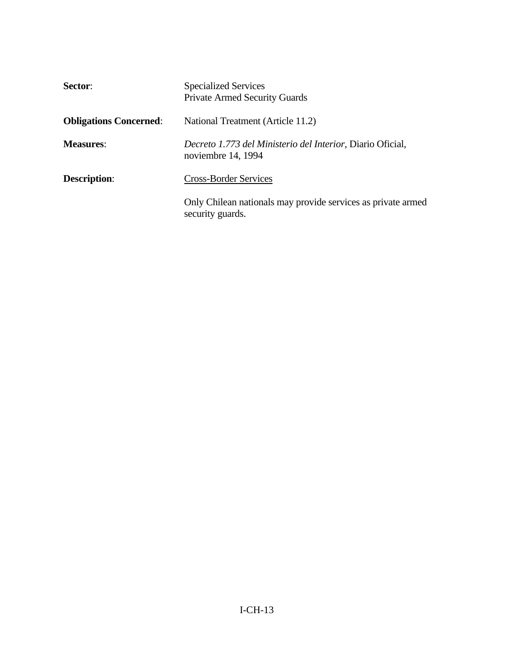| Sector:                       | <b>Specialized Services</b><br><b>Private Armed Security Guards</b>              |
|-------------------------------|----------------------------------------------------------------------------------|
| <b>Obligations Concerned:</b> | National Treatment (Article 11.2)                                                |
| <b>Measures:</b>              | Decreto 1.773 del Ministerio del Interior, Diario Oficial,<br>noviembre 14, 1994 |
| <b>Description:</b>           | <b>Cross-Border Services</b>                                                     |
|                               | Only Chilean nationals may provide services as private armed<br>security guards. |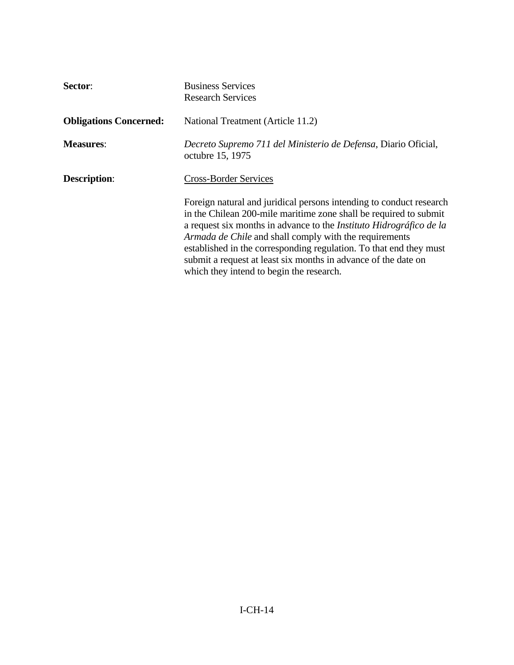| Sector:                       | <b>Business Services</b><br><b>Research Services</b>                                                                                                                                                                                                                                                                                                                                                                                                                 |
|-------------------------------|----------------------------------------------------------------------------------------------------------------------------------------------------------------------------------------------------------------------------------------------------------------------------------------------------------------------------------------------------------------------------------------------------------------------------------------------------------------------|
| <b>Obligations Concerned:</b> | National Treatment (Article 11.2)                                                                                                                                                                                                                                                                                                                                                                                                                                    |
| <b>Measures:</b>              | Decreto Supremo 711 del Ministerio de Defensa, Diario Oficial,<br>octubre 15, 1975                                                                                                                                                                                                                                                                                                                                                                                   |
| <b>Description:</b>           | <b>Cross-Border Services</b>                                                                                                                                                                                                                                                                                                                                                                                                                                         |
|                               | Foreign natural and juridical persons intending to conduct research<br>in the Chilean 200-mile maritime zone shall be required to submit<br>a request six months in advance to the <i>Instituto Hidrográfico de la</i><br>Armada de Chile and shall comply with the requirements<br>established in the corresponding regulation. To that end they must<br>submit a request at least six months in advance of the date on<br>which they intend to begin the research. |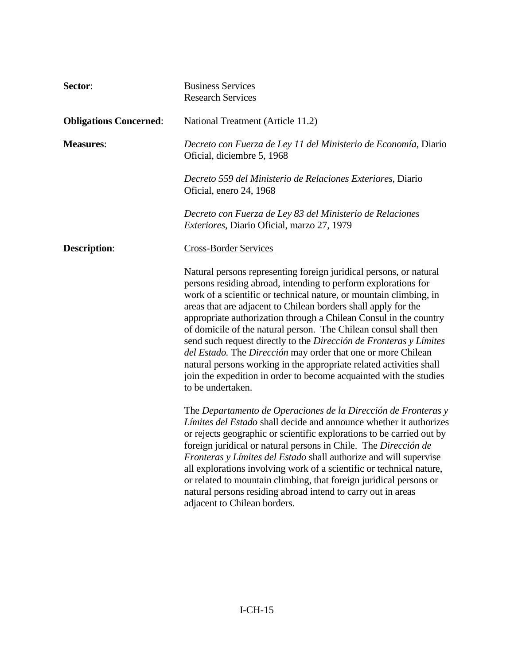| Sector:                       | <b>Business Services</b><br><b>Research Services</b>                                                                                                                                                                                                                                                                                                                                                                                                                                                                                                                                                                                                                                                                          |
|-------------------------------|-------------------------------------------------------------------------------------------------------------------------------------------------------------------------------------------------------------------------------------------------------------------------------------------------------------------------------------------------------------------------------------------------------------------------------------------------------------------------------------------------------------------------------------------------------------------------------------------------------------------------------------------------------------------------------------------------------------------------------|
| <b>Obligations Concerned:</b> | National Treatment (Article 11.2)                                                                                                                                                                                                                                                                                                                                                                                                                                                                                                                                                                                                                                                                                             |
| <b>Measures:</b>              | Decreto con Fuerza de Ley 11 del Ministerio de Economía, Diario<br>Oficial, diciembre 5, 1968                                                                                                                                                                                                                                                                                                                                                                                                                                                                                                                                                                                                                                 |
|                               | Decreto 559 del Ministerio de Relaciones Exteriores, Diario<br>Oficial, enero 24, 1968                                                                                                                                                                                                                                                                                                                                                                                                                                                                                                                                                                                                                                        |
|                               | Decreto con Fuerza de Ley 83 del Ministerio de Relaciones<br>Exteriores, Diario Oficial, marzo 27, 1979                                                                                                                                                                                                                                                                                                                                                                                                                                                                                                                                                                                                                       |
| <b>Description:</b>           | <b>Cross-Border Services</b>                                                                                                                                                                                                                                                                                                                                                                                                                                                                                                                                                                                                                                                                                                  |
|                               | Natural persons representing foreign juridical persons, or natural<br>persons residing abroad, intending to perform explorations for<br>work of a scientific or technical nature, or mountain climbing, in<br>areas that are adjacent to Chilean borders shall apply for the<br>appropriate authorization through a Chilean Consul in the country<br>of domicile of the natural person. The Chilean consul shall then<br>send such request directly to the Dirección de Fronteras y Límites<br>del Estado. The Dirección may order that one or more Chilean<br>natural persons working in the appropriate related activities shall<br>join the expedition in order to become acquainted with the studies<br>to be undertaken. |
|                               | The Departamento de Operaciones de la Dirección de Fronteras y<br>Límites del Estado shall decide and announce whether it authorizes<br>or rejects geographic or scientific explorations to be carried out by<br>foreign juridical or natural persons in Chile. The Dirección de<br>Fronteras y Límites del Estado shall authorize and will supervise<br>all explorations involving work of a scientific or technical nature,<br>or related to mountain climbing, that foreign juridical persons or<br>natural persons residing abroad intend to carry out in areas<br>adjacent to Chilean borders.                                                                                                                           |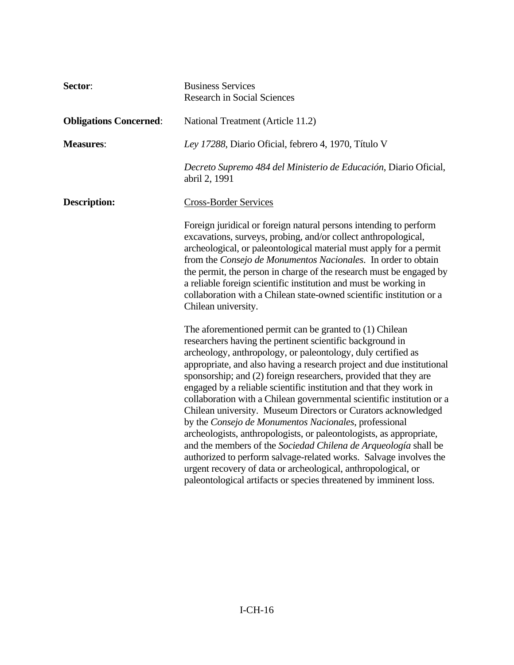| Sector:                       | <b>Business Services</b><br><b>Research in Social Sciences</b>                                                                                                                                                                                                                                                                                                                                                                                                                                                                                                                                                                                                                                                                                                                                                                                                                                                                                                  |
|-------------------------------|-----------------------------------------------------------------------------------------------------------------------------------------------------------------------------------------------------------------------------------------------------------------------------------------------------------------------------------------------------------------------------------------------------------------------------------------------------------------------------------------------------------------------------------------------------------------------------------------------------------------------------------------------------------------------------------------------------------------------------------------------------------------------------------------------------------------------------------------------------------------------------------------------------------------------------------------------------------------|
| <b>Obligations Concerned:</b> | National Treatment (Article 11.2)                                                                                                                                                                                                                                                                                                                                                                                                                                                                                                                                                                                                                                                                                                                                                                                                                                                                                                                               |
| <b>Measures:</b>              | Ley 17288, Diario Oficial, febrero 4, 1970, Título V                                                                                                                                                                                                                                                                                                                                                                                                                                                                                                                                                                                                                                                                                                                                                                                                                                                                                                            |
|                               | Decreto Supremo 484 del Ministerio de Educación, Diario Oficial,<br>abril 2, 1991                                                                                                                                                                                                                                                                                                                                                                                                                                                                                                                                                                                                                                                                                                                                                                                                                                                                               |
| <b>Description:</b>           | <b>Cross-Border Services</b>                                                                                                                                                                                                                                                                                                                                                                                                                                                                                                                                                                                                                                                                                                                                                                                                                                                                                                                                    |
|                               | Foreign juridical or foreign natural persons intending to perform<br>excavations, surveys, probing, and/or collect anthropological,<br>archeological, or paleontological material must apply for a permit<br>from the Consejo de Monumentos Nacionales. In order to obtain<br>the permit, the person in charge of the research must be engaged by<br>a reliable foreign scientific institution and must be working in<br>collaboration with a Chilean state-owned scientific institution or a<br>Chilean university.                                                                                                                                                                                                                                                                                                                                                                                                                                            |
|                               | The aforementioned permit can be granted to (1) Chilean<br>researchers having the pertinent scientific background in<br>archeology, anthropology, or paleontology, duly certified as<br>appropriate, and also having a research project and due institutional<br>sponsorship; and (2) foreign researchers, provided that they are<br>engaged by a reliable scientific institution and that they work in<br>collaboration with a Chilean governmental scientific institution or a<br>Chilean university. Museum Directors or Curators acknowledged<br>by the Consejo de Monumentos Nacionales, professional<br>archeologists, anthropologists, or paleontologists, as appropriate,<br>and the members of the Sociedad Chilena de Arqueología shall be<br>authorized to perform salvage-related works. Salvage involves the<br>urgent recovery of data or archeological, anthropological, or<br>paleontological artifacts or species threatened by imminent loss. |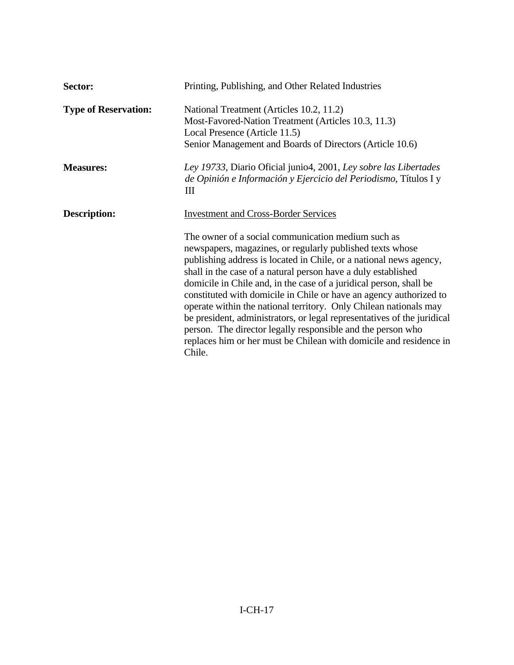| Sector:                     | Printing, Publishing, and Other Related Industries                                                                                                                                                                                                                                                                                                                                                                                                                                                                                                                                                                                                                                                |
|-----------------------------|---------------------------------------------------------------------------------------------------------------------------------------------------------------------------------------------------------------------------------------------------------------------------------------------------------------------------------------------------------------------------------------------------------------------------------------------------------------------------------------------------------------------------------------------------------------------------------------------------------------------------------------------------------------------------------------------------|
| <b>Type of Reservation:</b> | National Treatment (Articles 10.2, 11.2)<br>Most-Favored-Nation Treatment (Articles 10.3, 11.3)<br>Local Presence (Article 11.5)<br>Senior Management and Boards of Directors (Article 10.6)                                                                                                                                                                                                                                                                                                                                                                                                                                                                                                      |
| <b>Measures:</b>            | Ley 19733, Diario Oficial junio4, 2001, Ley sobre las Libertades<br>de Opinión e Información y Ejercicio del Periodismo, Títulos I y<br>Ш                                                                                                                                                                                                                                                                                                                                                                                                                                                                                                                                                         |
| <b>Description:</b>         | <b>Investment and Cross-Border Services</b>                                                                                                                                                                                                                                                                                                                                                                                                                                                                                                                                                                                                                                                       |
|                             | The owner of a social communication medium such as<br>newspapers, magazines, or regularly published texts whose<br>publishing address is located in Chile, or a national news agency,<br>shall in the case of a natural person have a duly established<br>domicile in Chile and, in the case of a juridical person, shall be<br>constituted with domicile in Chile or have an agency authorized to<br>operate within the national territory. Only Chilean nationals may<br>be president, administrators, or legal representatives of the juridical<br>person. The director legally responsible and the person who<br>replaces him or her must be Chilean with domicile and residence in<br>Chile. |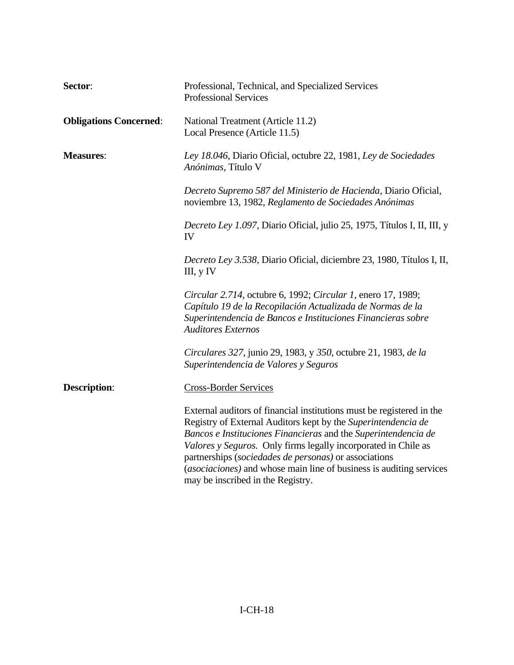| Sector:                       | Professional, Technical, and Specialized Services<br><b>Professional Services</b>                                                                                                                                                                                                                                                                                                                                                               |
|-------------------------------|-------------------------------------------------------------------------------------------------------------------------------------------------------------------------------------------------------------------------------------------------------------------------------------------------------------------------------------------------------------------------------------------------------------------------------------------------|
| <b>Obligations Concerned:</b> | National Treatment (Article 11.2)<br>Local Presence (Article 11.5)                                                                                                                                                                                                                                                                                                                                                                              |
| <b>Measures:</b>              | Ley 18.046, Diario Oficial, octubre 22, 1981, Ley de Sociedades<br>Anónimas, Título V                                                                                                                                                                                                                                                                                                                                                           |
|                               | Decreto Supremo 587 del Ministerio de Hacienda, Diario Oficial,<br>noviembre 13, 1982, Reglamento de Sociedades Anónimas                                                                                                                                                                                                                                                                                                                        |
|                               | Decreto Ley 1.097, Diario Oficial, julio 25, 1975, Títulos I, II, III, y<br>IV                                                                                                                                                                                                                                                                                                                                                                  |
|                               | Decreto Ley 3.538, Diario Oficial, diciembre 23, 1980, Títulos I, II,<br>III, $y$ IV                                                                                                                                                                                                                                                                                                                                                            |
|                               | Circular 2.714, octubre 6, 1992; Circular 1, enero 17, 1989;<br>Capítulo 19 de la Recopilación Actualizada de Normas de la<br>Superintendencia de Bancos e Instituciones Financieras sobre<br><b>Auditores Externos</b>                                                                                                                                                                                                                         |
|                               | Circulares 327, junio 29, 1983, y 350, octubre 21, 1983, de la<br>Superintendencia de Valores y Seguros                                                                                                                                                                                                                                                                                                                                         |
| <b>Description:</b>           | <b>Cross-Border Services</b>                                                                                                                                                                                                                                                                                                                                                                                                                    |
|                               | External auditors of financial institutions must be registered in the<br>Registry of External Auditors kept by the Superintendencia de<br>Bancos e Instituciones Financieras and the Superintendencia de<br>Valores y Seguros. Only firms legally incorporated in Chile as<br>partnerships (sociedades de personas) or associations<br>(asociaciones) and whose main line of business is auditing services<br>may be inscribed in the Registry. |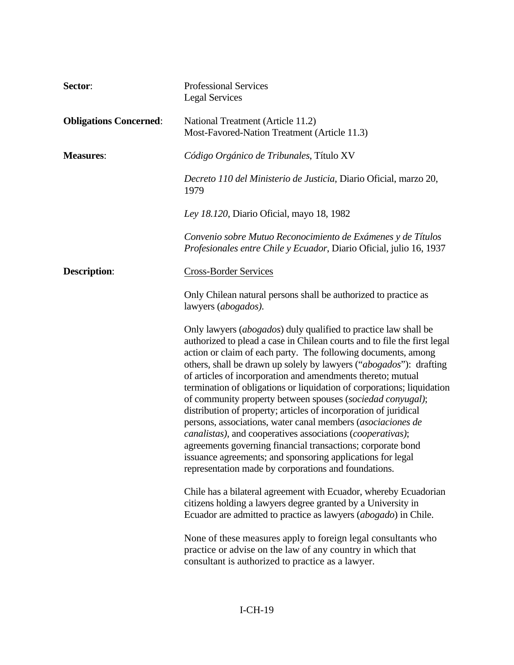| Sector:                       | <b>Professional Services</b><br><b>Legal Services</b>                                                                                                                                                                                                                                                                                                                                                                                                                                                                                                                                                                                                                                                                                                                                                                                                                                            |
|-------------------------------|--------------------------------------------------------------------------------------------------------------------------------------------------------------------------------------------------------------------------------------------------------------------------------------------------------------------------------------------------------------------------------------------------------------------------------------------------------------------------------------------------------------------------------------------------------------------------------------------------------------------------------------------------------------------------------------------------------------------------------------------------------------------------------------------------------------------------------------------------------------------------------------------------|
| <b>Obligations Concerned:</b> | National Treatment (Article 11.2)<br>Most-Favored-Nation Treatment (Article 11.3)                                                                                                                                                                                                                                                                                                                                                                                                                                                                                                                                                                                                                                                                                                                                                                                                                |
| <b>Measures:</b>              | Código Orgánico de Tribunales, Título XV                                                                                                                                                                                                                                                                                                                                                                                                                                                                                                                                                                                                                                                                                                                                                                                                                                                         |
|                               | Decreto 110 del Ministerio de Justicia, Diario Oficial, marzo 20,<br>1979                                                                                                                                                                                                                                                                                                                                                                                                                                                                                                                                                                                                                                                                                                                                                                                                                        |
|                               | Ley 18.120, Diario Oficial, mayo 18, 1982                                                                                                                                                                                                                                                                                                                                                                                                                                                                                                                                                                                                                                                                                                                                                                                                                                                        |
|                               | Convenio sobre Mutuo Reconocimiento de Exámenes y de Títulos<br>Profesionales entre Chile y Ecuador, Diario Oficial, julio 16, 1937                                                                                                                                                                                                                                                                                                                                                                                                                                                                                                                                                                                                                                                                                                                                                              |
| <b>Description:</b>           | <b>Cross-Border Services</b>                                                                                                                                                                                                                                                                                                                                                                                                                                                                                                                                                                                                                                                                                                                                                                                                                                                                     |
|                               | Only Chilean natural persons shall be authorized to practice as<br>lawyers ( <i>abogados</i> ).                                                                                                                                                                                                                                                                                                                                                                                                                                                                                                                                                                                                                                                                                                                                                                                                  |
|                               | Only lawyers (abogados) duly qualified to practice law shall be<br>authorized to plead a case in Chilean courts and to file the first legal<br>action or claim of each party. The following documents, among<br>others, shall be drawn up solely by lawyers ("abogados"): drafting<br>of articles of incorporation and amendments thereto; mutual<br>termination of obligations or liquidation of corporations; liquidation<br>of community property between spouses (sociedad conyugal);<br>distribution of property; articles of incorporation of juridical<br>persons, associations, water canal members (asociaciones de<br><i>canalistas</i> ), and cooperatives associations ( <i>cooperativas</i> );<br>agreements governing financial transactions; corporate bond<br>issuance agreements; and sponsoring applications for legal<br>representation made by corporations and foundations. |
|                               | Chile has a bilateral agreement with Ecuador, whereby Ecuadorian<br>citizens holding a lawyers degree granted by a University in<br>Ecuador are admitted to practice as lawyers (abogado) in Chile.                                                                                                                                                                                                                                                                                                                                                                                                                                                                                                                                                                                                                                                                                              |
|                               | None of these measures apply to foreign legal consultants who<br>practice or advise on the law of any country in which that<br>consultant is authorized to practice as a lawyer.                                                                                                                                                                                                                                                                                                                                                                                                                                                                                                                                                                                                                                                                                                                 |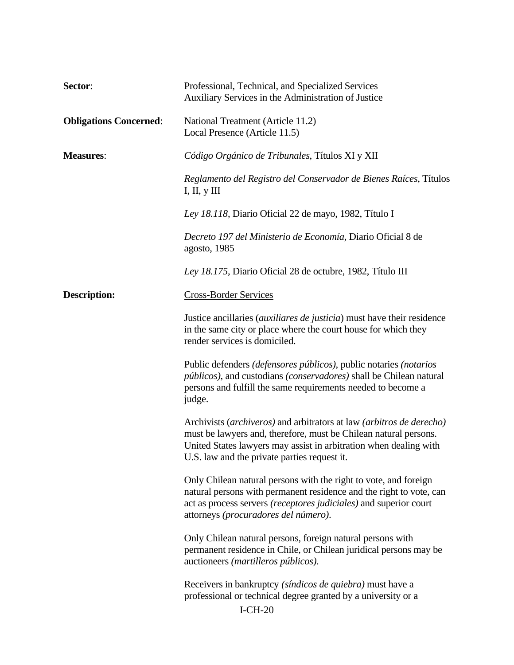| Sector:                       | Professional, Technical, and Specialized Services<br>Auxiliary Services in the Administration of Justice                                                                                                                                                      |
|-------------------------------|---------------------------------------------------------------------------------------------------------------------------------------------------------------------------------------------------------------------------------------------------------------|
| <b>Obligations Concerned:</b> | National Treatment (Article 11.2)<br>Local Presence (Article 11.5)                                                                                                                                                                                            |
| <b>Measures:</b>              | Código Orgánico de Tribunales, Títulos XI y XII                                                                                                                                                                                                               |
|                               | Reglamento del Registro del Conservador de Bienes Raíces, Títulos<br>I, II, $y$ III                                                                                                                                                                           |
|                               | Ley 18.118, Diario Oficial 22 de mayo, 1982, Título I                                                                                                                                                                                                         |
|                               | Decreto 197 del Ministerio de Economía, Diario Oficial 8 de<br>agosto, 1985                                                                                                                                                                                   |
|                               | Ley 18.175, Diario Oficial 28 de octubre, 1982, Título III                                                                                                                                                                                                    |
| <b>Description:</b>           | <b>Cross-Border Services</b>                                                                                                                                                                                                                                  |
|                               | Justice ancillaries <i>(auxiliares de justicia)</i> must have their residence<br>in the same city or place where the court house for which they<br>render services is domiciled.                                                                              |
|                               | Public defenders <i>(defensores públicos)</i> , public notaries <i>(notarios</i> )<br>públicos), and custodians (conservadores) shall be Chilean natural<br>persons and fulfill the same requirements needed to become a<br>judge.                            |
|                               | Archivists (archiveros) and arbitrators at law (arbitros de derecho)<br>must be lawyers and, therefore, must be Chilean natural persons.<br>United States lawyers may assist in arbitration when dealing with<br>U.S. law and the private parties request it. |
|                               | Only Chilean natural persons with the right to vote, and foreign<br>natural persons with permanent residence and the right to vote, can<br>act as process servers (receptores judiciales) and superior court<br>attorneys (procuradores del número).          |
|                               | Only Chilean natural persons, foreign natural persons with<br>permanent residence in Chile, or Chilean juridical persons may be<br>auctioneers (martilleros públicos).                                                                                        |
|                               | Receivers in bankruptcy <i>(síndicos de quiebra)</i> must have a<br>professional or technical degree granted by a university or a<br>$I-CH-20$                                                                                                                |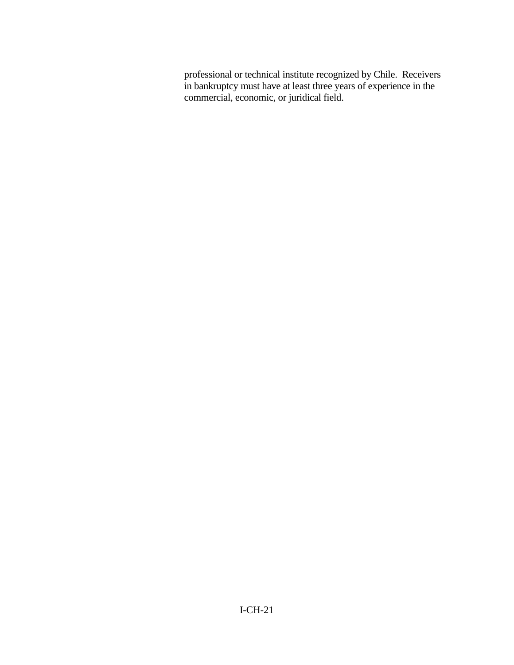professional or technical institute recognized by Chile. Receivers in bankruptcy must have at least three years of experience in the commercial, economic, or juridical field.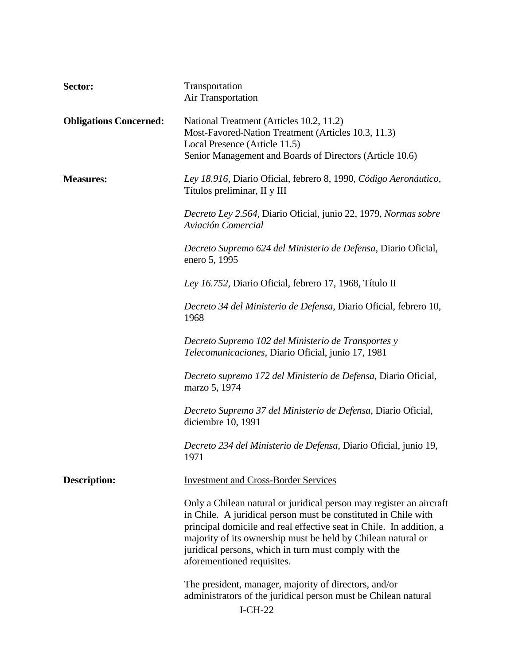| Sector:                       | Transportation<br>Air Transportation                                                                                                                                                                                                                                                                                                                                |
|-------------------------------|---------------------------------------------------------------------------------------------------------------------------------------------------------------------------------------------------------------------------------------------------------------------------------------------------------------------------------------------------------------------|
| <b>Obligations Concerned:</b> | National Treatment (Articles 10.2, 11.2)<br>Most-Favored-Nation Treatment (Articles 10.3, 11.3)<br>Local Presence (Article 11.5)<br>Senior Management and Boards of Directors (Article 10.6)                                                                                                                                                                        |
| <b>Measures:</b>              | Ley 18.916, Diario Oficial, febrero 8, 1990, Código Aeronáutico,<br>Títulos preliminar, II y III                                                                                                                                                                                                                                                                    |
|                               | Decreto Ley 2.564, Diario Oficial, junio 22, 1979, Normas sobre<br>Aviación Comercial                                                                                                                                                                                                                                                                               |
|                               | Decreto Supremo 624 del Ministerio de Defensa, Diario Oficial,<br>enero 5, 1995                                                                                                                                                                                                                                                                                     |
|                               | Ley 16.752, Diario Oficial, febrero 17, 1968, Título II                                                                                                                                                                                                                                                                                                             |
|                               | Decreto 34 del Ministerio de Defensa, Diario Oficial, febrero 10,<br>1968                                                                                                                                                                                                                                                                                           |
|                               | Decreto Supremo 102 del Ministerio de Transportes y<br>Telecomunicaciones, Diario Oficial, junio 17, 1981                                                                                                                                                                                                                                                           |
|                               | Decreto supremo 172 del Ministerio de Defensa, Diario Oficial,<br>marzo 5, 1974                                                                                                                                                                                                                                                                                     |
|                               | Decreto Supremo 37 del Ministerio de Defensa, Diario Oficial,<br>diciembre 10, 1991                                                                                                                                                                                                                                                                                 |
|                               | Decreto 234 del Ministerio de Defensa, Diario Oficial, junio 19,<br>1971                                                                                                                                                                                                                                                                                            |
| <b>Description:</b>           | <b>Investment and Cross-Border Services</b>                                                                                                                                                                                                                                                                                                                         |
|                               | Only a Chilean natural or juridical person may register an aircraft<br>in Chile. A juridical person must be constituted in Chile with<br>principal domicile and real effective seat in Chile. In addition, a<br>majority of its ownership must be held by Chilean natural or<br>juridical persons, which in turn must comply with the<br>aforementioned requisites. |
|                               | The president, manager, majority of directors, and/or<br>administrators of the juridical person must be Chilean natural<br>$I-CH-22$                                                                                                                                                                                                                                |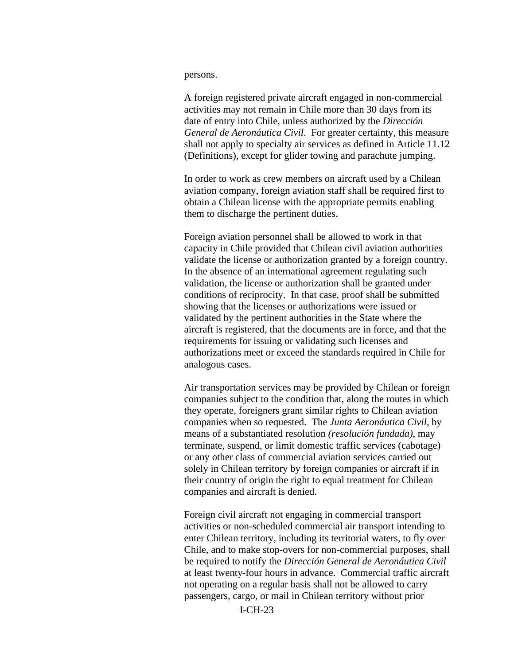## persons.

A foreign registered private aircraft engaged in non-commercial activities may not remain in Chile more than 30 days from its date of entry into Chile, unless authorized by the *Dirección General de Aeronáutica Civil*. For greater certainty, this measure shall not apply to specialty air services as defined in Article 11.12 (Definitions), except for glider towing and parachute jumping.

In order to work as crew members on aircraft used by a Chilean aviation company, foreign aviation staff shall be required first to obtain a Chilean license with the appropriate permits enabling them to discharge the pertinent duties.

Foreign aviation personnel shall be allowed to work in that capacity in Chile provided that Chilean civil aviation authorities validate the license or authorization granted by a foreign country. In the absence of an international agreement regulating such validation, the license or authorization shall be granted under conditions of reciprocity. In that case, proof shall be submitted showing that the licenses or authorizations were issued or validated by the pertinent authorities in the State where the aircraft is registered, that the documents are in force, and that the requirements for issuing or validating such licenses and authorizations meet or exceed the standards required in Chile for analogous cases.

Air transportation services may be provided by Chilean or foreign companies subject to the condition that, along the routes in which they operate, foreigners grant similar rights to Chilean aviation companies when so requested. The *Junta Aeronáutica Civil*, by means of a substantiated resolution *(resolución fundada)*, may terminate, suspend, or limit domestic traffic services (cabotage) or any other class of commercial aviation services carried out solely in Chilean territory by foreign companies or aircraft if in their country of origin the right to equal treatment for Chilean companies and aircraft is denied.

Foreign civil aircraft not engaging in commercial transport activities or non-scheduled commercial air transport intending to enter Chilean territory, including its territorial waters, to fly over Chile, and to make stop-overs for non-commercial purposes, shall be required to notify the *Dirección General de Aeronáutica Civil*  at least twenty-four hours in advance. Commercial traffic aircraft not operating on a regular basis shall not be allowed to carry passengers, cargo, or mail in Chilean territory without prior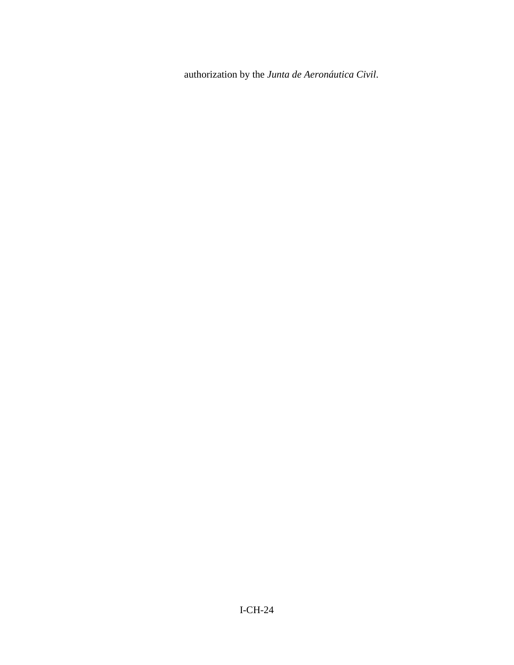authorization by the *Junta de Aeronáutica Civil*.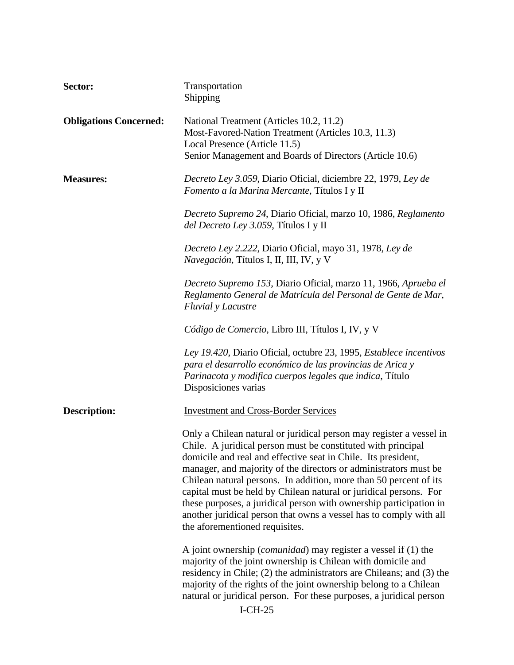| Sector:                       | Transportation<br>Shipping                                                                                                                                                                                                                                                                                                                                                                                                                                                                                                                                                                       |
|-------------------------------|--------------------------------------------------------------------------------------------------------------------------------------------------------------------------------------------------------------------------------------------------------------------------------------------------------------------------------------------------------------------------------------------------------------------------------------------------------------------------------------------------------------------------------------------------------------------------------------------------|
| <b>Obligations Concerned:</b> | National Treatment (Articles 10.2, 11.2)<br>Most-Favored-Nation Treatment (Articles 10.3, 11.3)<br>Local Presence (Article 11.5)<br>Senior Management and Boards of Directors (Article 10.6)                                                                                                                                                                                                                                                                                                                                                                                                     |
| <b>Measures:</b>              | Decreto Ley 3.059, Diario Oficial, diciembre 22, 1979, Ley de<br>Fomento a la Marina Mercante, Títulos I y II                                                                                                                                                                                                                                                                                                                                                                                                                                                                                    |
|                               | Decreto Supremo 24, Diario Oficial, marzo 10, 1986, Reglamento<br>del Decreto Ley 3.059, Títulos I y II                                                                                                                                                                                                                                                                                                                                                                                                                                                                                          |
|                               | Decreto Ley 2.222, Diario Oficial, mayo 31, 1978, Ley de<br>Navegación, Títulos I, II, III, IV, y V                                                                                                                                                                                                                                                                                                                                                                                                                                                                                              |
|                               | Decreto Supremo 153, Diario Oficial, marzo 11, 1966, Aprueba el<br>Reglamento General de Matrícula del Personal de Gente de Mar,<br><b>Fluvial</b> y Lacustre                                                                                                                                                                                                                                                                                                                                                                                                                                    |
|                               | Código de Comercio, Libro III, Títulos I, IV, y V                                                                                                                                                                                                                                                                                                                                                                                                                                                                                                                                                |
|                               | Ley 19.420, Diario Oficial, octubre 23, 1995, Establece incentivos<br>para el desarrollo económico de las provincias de Arica y<br>Parinacota y modifica cuerpos legales que indica, Título<br>Disposiciones varias                                                                                                                                                                                                                                                                                                                                                                              |
| <b>Description:</b>           | <b>Investment and Cross-Border Services</b>                                                                                                                                                                                                                                                                                                                                                                                                                                                                                                                                                      |
|                               | Only a Chilean natural or juridical person may register a vessel in<br>Chile. A juridical person must be constituted with principal<br>domicile and real and effective seat in Chile. Its president,<br>manager, and majority of the directors or administrators must be<br>Chilean natural persons. In addition, more than 50 percent of its<br>capital must be held by Chilean natural or juridical persons. For<br>these purposes, a juridical person with ownership participation in<br>another juridical person that owns a vessel has to comply with all<br>the aforementioned requisites. |
|                               | A joint ownership ( <i>comunidad</i> ) may register a vessel if (1) the<br>majority of the joint ownership is Chilean with domicile and<br>residency in Chile; (2) the administrators are Chileans; and (3) the<br>majority of the rights of the joint ownership belong to a Chilean<br>natural or juridical person. For these purposes, a juridical person<br>$I-CH-25$                                                                                                                                                                                                                         |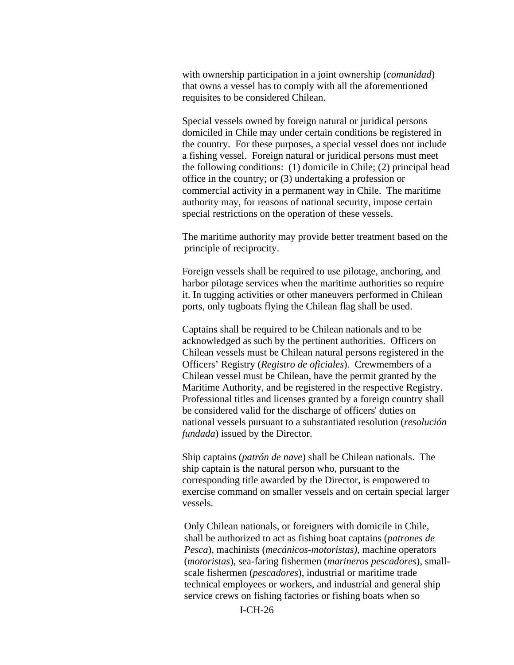with ownership participation in a joint ownership (*comunidad*) that owns a vessel has to comply with all the aforementioned requisites to be considered Chilean.

Special vessels owned by foreign natural or juridical persons domiciled in Chile may under certain conditions be registered in the country. For these purposes, a special vessel does not include a fishing vessel. Foreign natural or juridical persons must meet the following conditions: (1) domicile in Chile; (2) principal head office in the country; or (3) undertaking a profession or commercial activity in a permanent way in Chile. The maritime authority may, for reasons of national security, impose certain special restrictions on the operation of these vessels.

The maritime authority may provide better treatment based on the principle of reciprocity.

Foreign vessels shall be required to use pilotage, anchoring, and harbor pilotage services when the maritime authorities so require it. In tugging activities or other maneuvers performed in Chilean ports, only tugboats flying the Chilean flag shall be used.

Captains shall be required to be Chilean nationals and to be acknowledged as such by the pertinent authorities. Officers on Chilean vessels must be Chilean natural persons registered in the Officers' Registry (*Registro de oficiales*). Crewmembers of a Chilean vessel must be Chilean, have the permit granted by the Maritime Authority, and be registered in the respective Registry. Professional titles and licenses granted by a foreign country shall be considered valid for the discharge of officers' duties on national vessels pursuant to a substantiated resolution (*resolución fundada*) issued by the Director.

Ship captains (*patrón de nave*) shall be Chilean nationals. The ship captain is the natural person who, pursuant to the corresponding title awarded by the Director, is empowered to exercise command on smaller vessels and on certain special larger vessels.

Only Chilean nationals, or foreigners with domicile in Chile, shall be authorized to act as fishing boat captains (*patrones de Pesca*), machinists (*mecánicos-motoristas)*, machine operators (*motoristas*), sea-faring fishermen (*marineros pescadores*), smallscale fishermen (*pescadores*), industrial or maritime trade technical employees or workers, and industrial and general ship service crews on fishing factories or fishing boats when so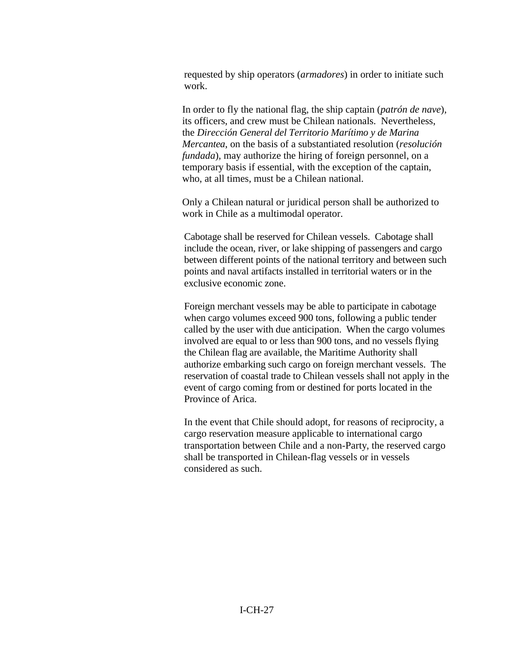requested by ship operators (*armadores*) in order to initiate such work.

In order to fly the national flag, the ship captain (*patrón de nave*), its officers, and crew must be Chilean nationals. Nevertheless, the *Dirección General del Territorio Marítimo y de Marina Mercantea*, on the basis of a substantiated resolution (*resolución fundada*), may authorize the hiring of foreign personnel, on a temporary basis if essential, with the exception of the captain, who, at all times, must be a Chilean national.

Only a Chilean natural or juridical person shall be authorized to work in Chile as a multimodal operator.

Cabotage shall be reserved for Chilean vessels. Cabotage shall include the ocean, river, or lake shipping of passengers and cargo between different points of the national territory and between such points and naval artifacts installed in territorial waters or in the exclusive economic zone.

Foreign merchant vessels may be able to participate in cabotage when cargo volumes exceed 900 tons, following a public tender called by the user with due anticipation. When the cargo volumes involved are equal to or less than 900 tons, and no vessels flying the Chilean flag are available, the Maritime Authority shall authorize embarking such cargo on foreign merchant vessels. The reservation of coastal trade to Chilean vessels shall not apply in the event of cargo coming from or destined for ports located in the Province of Arica.

In the event that Chile should adopt, for reasons of reciprocity, a cargo reservation measure applicable to international cargo transportation between Chile and a non-Party, the reserved cargo shall be transported in Chilean-flag vessels or in vessels considered as such.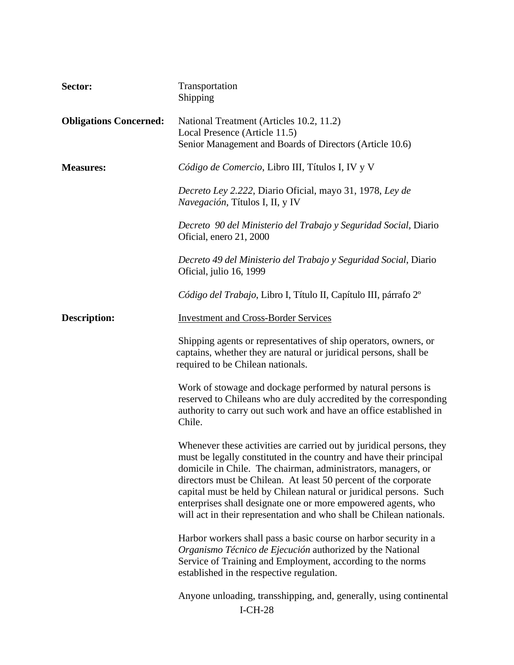| Sector:                       | Transportation<br>Shipping                                                                                                                                                                                                                                                                                                                                                                                                                                                                     |
|-------------------------------|------------------------------------------------------------------------------------------------------------------------------------------------------------------------------------------------------------------------------------------------------------------------------------------------------------------------------------------------------------------------------------------------------------------------------------------------------------------------------------------------|
| <b>Obligations Concerned:</b> | National Treatment (Articles 10.2, 11.2)<br>Local Presence (Article 11.5)<br>Senior Management and Boards of Directors (Article 10.6)                                                                                                                                                                                                                                                                                                                                                          |
| <b>Measures:</b>              | Código de Comercio, Libro III, Títulos I, IV y V                                                                                                                                                                                                                                                                                                                                                                                                                                               |
|                               | Decreto Ley 2.222, Diario Oficial, mayo 31, 1978, Ley de<br>Navegación, Títulos I, II, y IV                                                                                                                                                                                                                                                                                                                                                                                                    |
|                               | Decreto 90 del Ministerio del Trabajo y Seguridad Social, Diario<br>Oficial, enero 21, 2000                                                                                                                                                                                                                                                                                                                                                                                                    |
|                               | Decreto 49 del Ministerio del Trabajo y Seguridad Social, Diario<br>Oficial, julio 16, 1999                                                                                                                                                                                                                                                                                                                                                                                                    |
|                               | Código del Trabajo, Libro I, Título II, Capítulo III, párrafo 2º                                                                                                                                                                                                                                                                                                                                                                                                                               |
| <b>Description:</b>           | <b>Investment and Cross-Border Services</b>                                                                                                                                                                                                                                                                                                                                                                                                                                                    |
|                               | Shipping agents or representatives of ship operators, owners, or<br>captains, whether they are natural or juridical persons, shall be<br>required to be Chilean nationals.                                                                                                                                                                                                                                                                                                                     |
|                               | Work of stowage and dockage performed by natural persons is<br>reserved to Chileans who are duly accredited by the corresponding<br>authority to carry out such work and have an office established in<br>Chile.                                                                                                                                                                                                                                                                               |
|                               | Whenever these activities are carried out by juridical persons, they<br>must be legally constituted in the country and have their principal<br>domicile in Chile. The chairman, administrators, managers, or<br>directors must be Chilean. At least 50 percent of the corporate<br>capital must be held by Chilean natural or juridical persons. Such<br>enterprises shall designate one or more empowered agents, who<br>will act in their representation and who shall be Chilean nationals. |
|                               | Harbor workers shall pass a basic course on harbor security in a<br>Organismo Técnico de Ejecución authorized by the National<br>Service of Training and Employment, according to the norms<br>established in the respective regulation.                                                                                                                                                                                                                                                       |
|                               | Anyone unloading, transshipping, and, generally, using continental<br>$I-CH-28$                                                                                                                                                                                                                                                                                                                                                                                                                |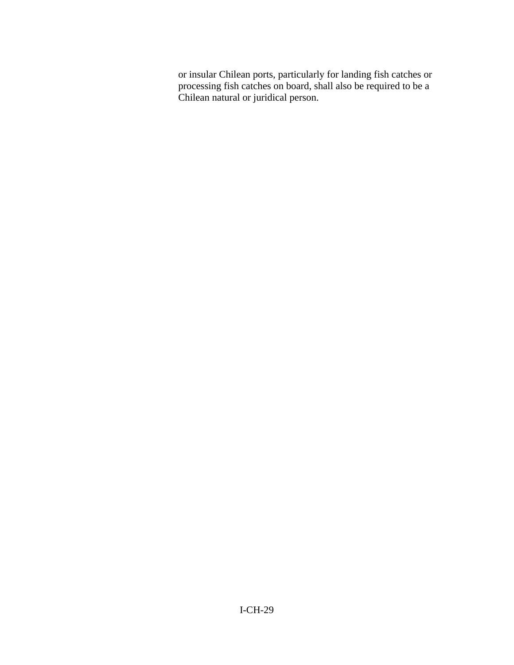or insular Chilean ports, particularly for landing fish catches or processing fish catches on board, shall also be required to be a Chilean natural or juridical person.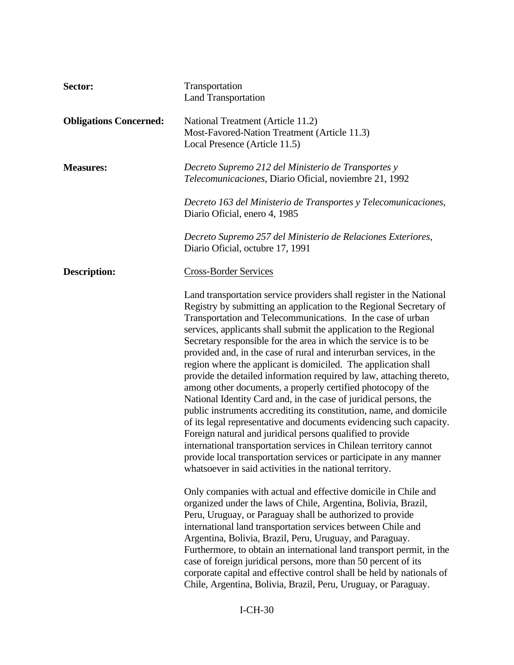| Sector:                       | Transportation<br><b>Land Transportation</b>                                                                                                                                                                                                                                                                                                                                                                                                                                                                                                                                                                                                                                                                                                                                                                                                                                                                                                                                                                                                                                                                               |
|-------------------------------|----------------------------------------------------------------------------------------------------------------------------------------------------------------------------------------------------------------------------------------------------------------------------------------------------------------------------------------------------------------------------------------------------------------------------------------------------------------------------------------------------------------------------------------------------------------------------------------------------------------------------------------------------------------------------------------------------------------------------------------------------------------------------------------------------------------------------------------------------------------------------------------------------------------------------------------------------------------------------------------------------------------------------------------------------------------------------------------------------------------------------|
| <b>Obligations Concerned:</b> | National Treatment (Article 11.2)<br>Most-Favored-Nation Treatment (Article 11.3)<br>Local Presence (Article 11.5)                                                                                                                                                                                                                                                                                                                                                                                                                                                                                                                                                                                                                                                                                                                                                                                                                                                                                                                                                                                                         |
| <b>Measures:</b>              | Decreto Supremo 212 del Ministerio de Transportes y<br>Telecomunicaciones, Diario Oficial, noviembre 21, 1992                                                                                                                                                                                                                                                                                                                                                                                                                                                                                                                                                                                                                                                                                                                                                                                                                                                                                                                                                                                                              |
|                               | Decreto 163 del Ministerio de Transportes y Telecomunicaciones,<br>Diario Oficial, enero 4, 1985                                                                                                                                                                                                                                                                                                                                                                                                                                                                                                                                                                                                                                                                                                                                                                                                                                                                                                                                                                                                                           |
|                               | Decreto Supremo 257 del Ministerio de Relaciones Exteriores,<br>Diario Oficial, octubre 17, 1991                                                                                                                                                                                                                                                                                                                                                                                                                                                                                                                                                                                                                                                                                                                                                                                                                                                                                                                                                                                                                           |
| <b>Description:</b>           | <b>Cross-Border Services</b>                                                                                                                                                                                                                                                                                                                                                                                                                                                                                                                                                                                                                                                                                                                                                                                                                                                                                                                                                                                                                                                                                               |
|                               | Land transportation service providers shall register in the National<br>Registry by submitting an application to the Regional Secretary of<br>Transportation and Telecommunications. In the case of urban<br>services, applicants shall submit the application to the Regional<br>Secretary responsible for the area in which the service is to be<br>provided and, in the case of rural and interurban services, in the<br>region where the applicant is domiciled. The application shall<br>provide the detailed information required by law, attaching thereto,<br>among other documents, a properly certified photocopy of the<br>National Identity Card and, in the case of juridical persons, the<br>public instruments accrediting its constitution, name, and domicile<br>of its legal representative and documents evidencing such capacity.<br>Foreign natural and juridical persons qualified to provide<br>international transportation services in Chilean territory cannot<br>provide local transportation services or participate in any manner<br>whatsoever in said activities in the national territory. |
|                               | Only companies with actual and effective domicile in Chile and<br>organized under the laws of Chile, Argentina, Bolivia, Brazil,<br>Peru, Uruguay, or Paraguay shall be authorized to provide<br>international land transportation services between Chile and<br>Argentina, Bolivia, Brazil, Peru, Uruguay, and Paraguay.<br>Furthermore, to obtain an international land transport permit, in the<br>case of foreign juridical persons, more than 50 percent of its<br>corporate capital and effective control shall be held by nationals of<br>Chile, Argentina, Bolivia, Brazil, Peru, Uruguay, or Paraguay.                                                                                                                                                                                                                                                                                                                                                                                                                                                                                                            |